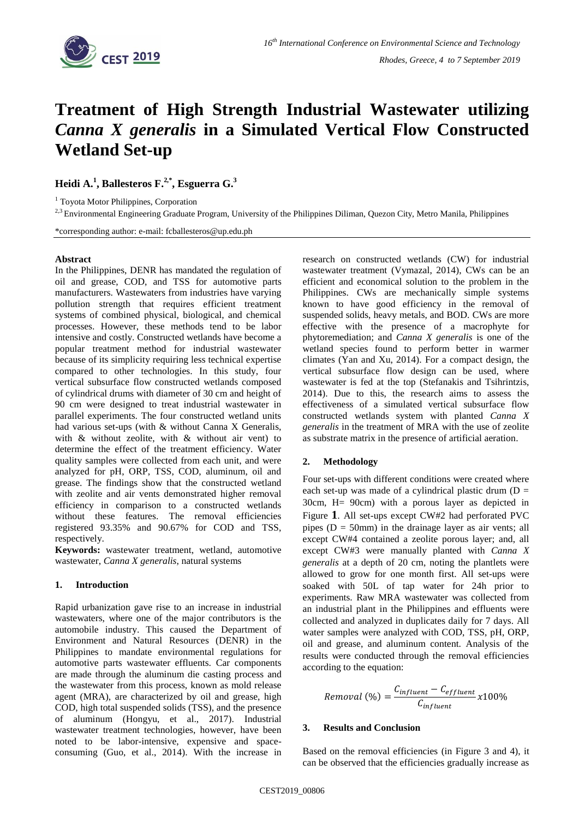

# **Treatment of High Strength Industrial Wastewater utilizing**  *Canna X generalis* **in a Simulated Vertical Flow Constructed Wetland Set-up**

**Heidi A. 1 , Ballesteros F. 2,\* , Esguerra G. 3**

<sup>1</sup> Toyota Motor Philippines, Corporation

<sup>2,3</sup> Environmental Engineering Graduate Program, University of the Philippines Diliman, Quezon City, Metro Manila, Philippines

\*corresponding author: e-mail: fcballesteros@up.edu.ph

### **Abstract**

In the Philippines, DENR has mandated the regulation of oil and grease, COD, and TSS for automotive parts manufacturers. Wastewaters from industries have varying pollution strength that requires efficient treatment systems of combined physical, biological, and chemical processes. However, these methods tend to be labor intensive and costly. Constructed wetlands have become a popular treatment method for industrial wastewater because of its simplicity requiring less technical expertise compared to other technologies. In this study, four vertical subsurface flow constructed wetlands composed of cylindrical drums with diameter of 30 cm and height of 90 cm were designed to treat industrial wastewater in parallel experiments. The four constructed wetland units had various set-ups (with & without Canna X Generalis, with & without zeolite, with & without air vent) to determine the effect of the treatment efficiency. Water quality samples were collected from each unit, and were analyzed for pH, ORP, TSS, COD, aluminum, oil and grease. The findings show that the constructed wetland with zeolite and air vents demonstrated higher removal efficiency in comparison to a constructed wetlands without these features. The removal efficiencies registered 93.35% and 90.67% for COD and TSS, respectively.

**Keywords:** wastewater treatment, wetland, automotive wastewater, *Canna X generalis*, natural systems

## **1. Introduction**

Rapid urbanization gave rise to an increase in industrial wastewaters, where one of the major contributors is the automobile industry. This caused the Department of Environment and Natural Resources (DENR) in the Philippines to mandate environmental regulations for automotive parts wastewater effluents. Car components are made through the aluminum die casting process and the wastewater from this process, known as mold release agent (MRA), are characterized by oil and grease, high COD, high total suspended solids (TSS), and the presence of aluminum (Hongyu, et al., 2017). Industrial wastewater treatment technologies, however, have been noted to be labor-intensive, expensive and spaceconsuming (Guo, et al., 2014). With the increase in research on constructed wetlands (CW) for industrial wastewater treatment (Vymazal, 2014), CWs can be an efficient and economical solution to the problem in the Philippines. CWs are mechanically simple systems known to have good efficiency in the removal of suspended solids, heavy metals, and BOD. CWs are more effective with the presence of a macrophyte for phytoremediation; and *Canna X generalis* is one of the wetland species found to perform better in warmer climates (Yan and Xu, 2014). For a compact design, the vertical subsurface flow design can be used, where wastewater is fed at the top (Stefanakis and Tsihrintzis, 2014). Due to this, the research aims to assess the effectiveness of a simulated vertical subsurface flow constructed wetlands system with planted *Canna X generalis* in the treatment of MRA with the use of zeolite as substrate matrix in the presence of artificial aeration.

# **2. Methodology**

Four set-ups with different conditions were created where each set-up was made of a cylindrical plastic drum  $(D =$ 30cm, H= 90cm) with a porous layer as depicted i[n](#page-1-0)  [Figure](#page-1-0) **1**. All set-ups except CW#2 had perforated PVC pipes ( $D = 50$ mm) in the drainage layer as air vents; all except CW#4 contained a zeolite porous layer; and, all except CW#3 were manually planted with *Canna X generalis* at a depth of 20 cm, noting the plantlets were allowed to grow for one month first. All set-ups were soaked with 50L of tap water for 24h prior to experiments. Raw MRA wastewater was collected from an industrial plant in the Philippines and effluents were collected and analyzed in duplicates daily for 7 days. All water samples were analyzed with COD, TSS, pH, ORP, oil and grease, and aluminum content. Analysis of the results were conducted through the removal efficiencies according to the equation:

$$
Removal (%) = \frac{C_{influent} - C_{effluent}}{C_{influent}} \times 100\%
$$

# **3. Results and Conclusion**

Based on the removal efficiencies (in [Figure 3](#page-1-1) and 4), it can be observed that the efficiencies gradually increase as